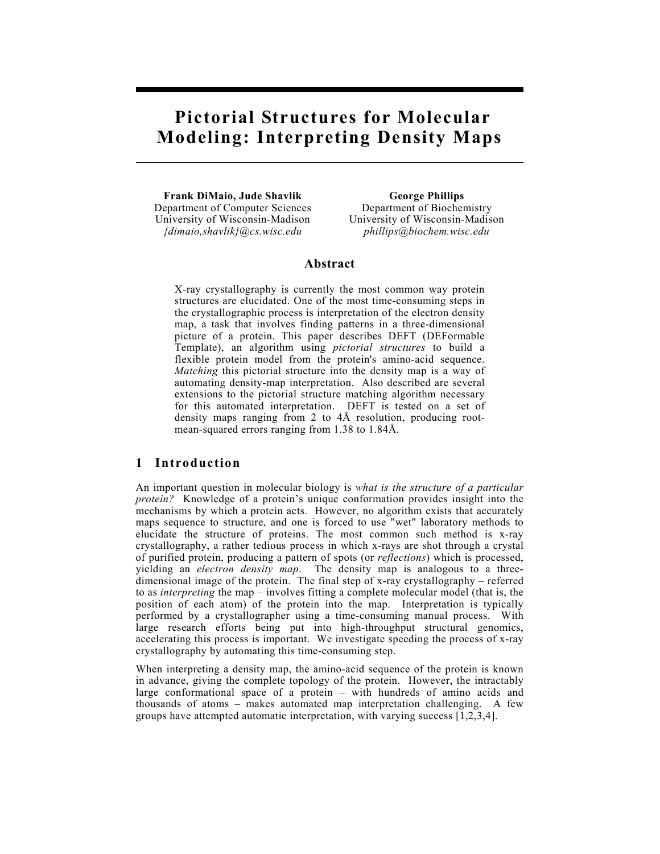# **Pictorial Structures for Molecular Modeling: Interpreting Density Maps**

 **Frank DiMaio, Jude Shavlik George Phillips**  Department of Computer Sciences Department of Biochemistry University of Wisconsin-Madison University of Wisconsin-Madison

*{dimaio,shavlik}@cs.wisc.edu phillips@biochem.wisc.edu* 

### **Abstract**

X-ray crystallography is currently the most common way protein structures are elucidated. One of the most time-consuming steps in the crystallographic process is interpretation of the electron density map, a task that involves finding patterns in a three-dimensional picture of a protein. This paper describes DEFT (DEFormable Template), an algorithm using *pictorial structures* to build a flexible protein model from the protein's amino-acid sequence. *Matching* this pictorial structure into the density map is a way of automating density-map interpretation. Also described are several extensions to the pictorial structure matching algorithm necessary for this automated interpretation. DEFT is tested on a set of density maps ranging from 2 to 4Å resolution, producing rootmean-squared errors ranging from 1.38 to 1.84Å.

## **1 Introduction**

An important question in molecular biology is *what is the structure of a particular protein?* Knowledge of a protein's unique conformation provides insight into the mechanisms by which a protein acts. However, no algorithm exists that accurately maps sequence to structure, and one is forced to use "wet" laboratory methods to elucidate the structure of proteins. The most common such method is x-ray crystallography, a rather tedious process in which x-rays are shot through a crystal of purified protein, producing a pattern of spots (or *reflections*) which is processed, yielding an *electron density map*. The density map is analogous to a threedimensional image of the protein. The final step of x-ray crystallography – referred to as *interpreting* the map – involves fitting a complete molecular model (that is, the position of each atom) of the protein into the map. Interpretation is typically performed by a crystallographer using a time-consuming manual process. With large research efforts being put into high-throughput structural genomics, accelerating this process is important. We investigate speeding the process of x-ray crystallography by automating this time-consuming step.

When interpreting a density map, the amino-acid sequence of the protein is known in advance, giving the complete topology of the protein. However, the intractably large conformational space of a protein – with hundreds of amino acids and thousands of atoms – makes automated map interpretation challenging. A few groups have attempted automatic interpretation, with varying success [1,2,3,4].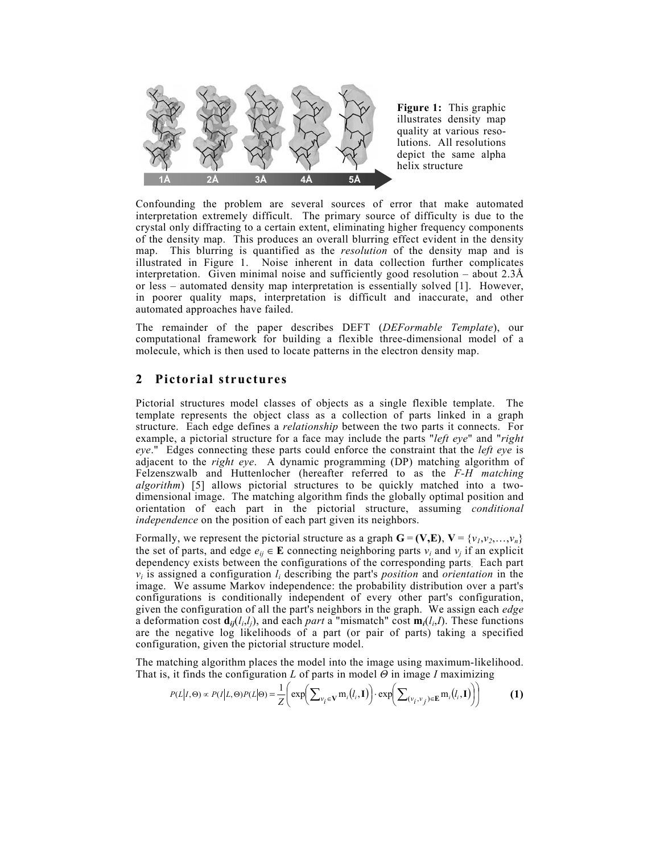

**Figure 1:** This graphic illustrates density map quality at various resolutions. All resolutions depict the same alpha helix structure

Confounding the problem are several sources of error that make automated interpretation extremely difficult. The primary source of difficulty is due to the crystal only diffracting to a certain extent, eliminating higher frequency components of the density map. This produces an overall blurring effect evident in the density map. This blurring is quantified as the *resolution* of the density map and is illustrated in Figure 1. Noise inherent in data collection further complicates interpretation. Given minimal noise and sufficiently good resolution – about  $2.3\text{\AA}$ or less – automated density map interpretation is essentially solved [1]. However, in poorer quality maps, interpretation is difficult and inaccurate, and other automated approaches have failed.

The remainder of the paper describes DEFT (*DEFormable Template*), our computational framework for building a flexible three-dimensional model of a molecule, which is then used to locate patterns in the electron density map.

## **2 Pictorial structures**

Pictorial structures model classes of objects as a single flexible template. The template represents the object class as a collection of parts linked in a graph structure. Each edge defines a *relationship* between the two parts it connects. For example, a pictorial structure for a face may include the parts "*left eye*" and "*right eye*." Edges connecting these parts could enforce the constraint that the *left eye* is adjacent to the *right eye*. A dynamic programming (DP) matching algorithm of Felzenszwalb and Huttenlocher (hereafter referred to as the *F-H matching algorithm*) [5] allows pictorial structures to be quickly matched into a twodimensional image. The matching algorithm finds the globally optimal position and orientation of each part in the pictorial structure, assuming *conditional independence* on the position of each part given its neighbors.

Formally, we represent the pictorial structure as a graph  $\mathbf{G} = (\mathbf{V}, \mathbf{E}), \mathbf{V} = \{v_1, v_2, \dots, v_n\}$ the set of parts, and edge  $e_{ij} \in \mathbf{E}$  connecting neighboring parts  $v_i$  and  $v_j$  if an explicit dependency exists between the configurations of the corresponding parts. Each part *vi* is assigned a configuration *li* describing the part's *position* and *orientation* in the image. We assume Markov independence: the probability distribution over a part's configurations is conditionally independent of every other part's configuration, given the configuration of all the part's neighbors in the graph. We assign each *edge* a deformation cost  $\mathbf{d}_{ij}(l_i,l_j)$ , and each *part* a "mismatch" cost  $\mathbf{m}_i(l_i,l)$ . These functions are the negative log likelihoods of a part (or pair of parts) taking a specified configuration, given the pictorial structure model.

The matching algorithm places the model into the image using maximum-likelihood. That is, it finds the configuration *L* of parts in model *Θ* in image *I* maximizing

$$
P(L|I,\Theta) \propto P(I|L,\Theta)P(L|\Theta) = \frac{1}{Z} \bigg( \exp \bigg( \sum_{v_i \in \mathbf{V}} \mathbf{m}_i(l_i,\mathbf{I}) \bigg) \cdot \exp \bigg( \sum_{(v_i,v_j) \in \mathbf{E}} \mathbf{m}_i(l_i,\mathbf{I}) \bigg) \bigg) \tag{1}
$$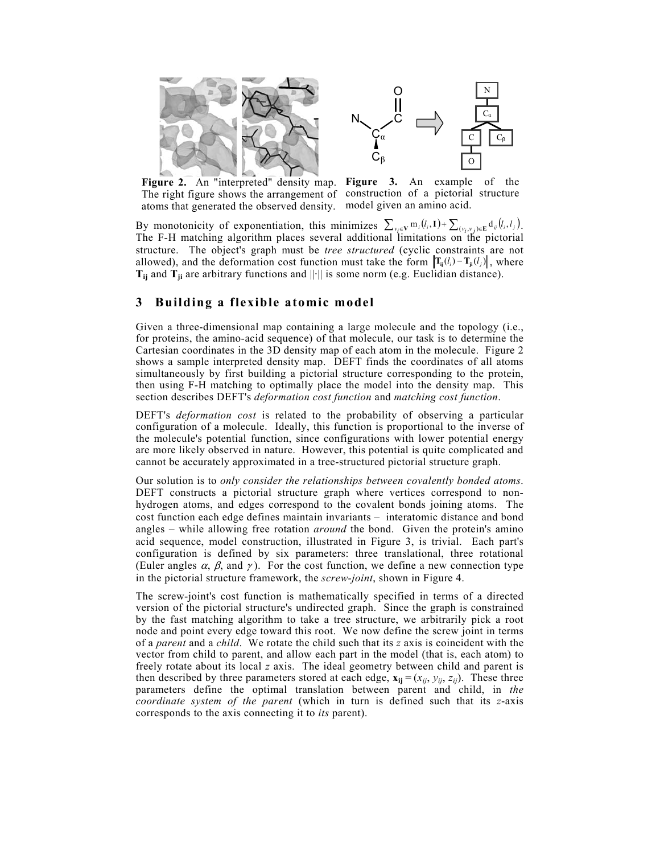



**Figure 2.** An "interpreted" density map. **Figure 3.** An example of the The right figure shows the arrangement of construction of a pictorial structure atoms that generated the observed density. model given an amino acid.

By monotonicity of exponentiation, this minimizes  $\sum_{v_i \in V} m_i(l_i, I) + \sum_{(v_i, v_j) \in E} d_{ij}(l_i, l_j)$ . The F-H matching algorithm places several additional limitations on the pictorial structure. The object's graph must be *tree structured* (cyclic constraints are not allowed), and the deformation cost function must take the form  $\left\|T_{ii}(l_i) - T_{ii}(l_j)\right\|$ , where  $T_{ij}$  and  $T_{ji}$  are arbitrary functions and  $||\cdot||$  is some norm (e.g. Euclidian distance).

## **3 Building a flexible atomic model**

Given a three-dimensional map containing a large molecule and the topology (i.e., for proteins, the amino-acid sequence) of that molecule, our task is to determine the Cartesian coordinates in the 3D density map of each atom in the molecule. Figure 2 shows a sample interpreted density map. DEFT finds the coordinates of all atoms simultaneously by first building a pictorial structure corresponding to the protein, then using F-H matching to optimally place the model into the density map. This section describes DEFT's *deformation cost function* and *matching cost function*.

DEFT's *deformation cost* is related to the probability of observing a particular configuration of a molecule. Ideally, this function is proportional to the inverse of the molecule's potential function, since configurations with lower potential energy are more likely observed in nature. However, this potential is quite complicated and cannot be accurately approximated in a tree-structured pictorial structure graph.

Our solution is to *only consider the relationships between covalently bonded atoms*. DEFT constructs a pictorial structure graph where vertices correspond to nonhydrogen atoms, and edges correspond to the covalent bonds joining atoms. The cost function each edge defines maintain invariants – interatomic distance and bond angles – while allowing free rotation *around* the bond. Given the protein's amino acid sequence, model construction, illustrated in Figure 3, is trivial. Each part's configuration is defined by six parameters: three translational, three rotational (Euler angles  $\alpha$ ,  $\beta$ , and  $\gamma$ ). For the cost function, we define a new connection type in the pictorial structure framework, the *screw-joint*, shown in Figure 4.

The screw-joint's cost function is mathematically specified in terms of a directed version of the pictorial structure's undirected graph. Since the graph is constrained by the fast matching algorithm to take a tree structure, we arbitrarily pick a root node and point every edge toward this root. We now define the screw joint in terms of a *parent* and a *child*. We rotate the child such that its *z* axis is coincident with the vector from child to parent, and allow each part in the model (that is, each atom) to freely rotate about its local *z* axis. The ideal geometry between child and parent is then described by three parameters stored at each edge,  $\mathbf{x}_{ij} = (x_{ij}, y_{ij}, z_{ij})$ . These three parameters define the optimal translation between parent and child, in *the coordinate system of the parent* (which in turn is defined such that its *z*-axis corresponds to the axis connecting it to *its* parent).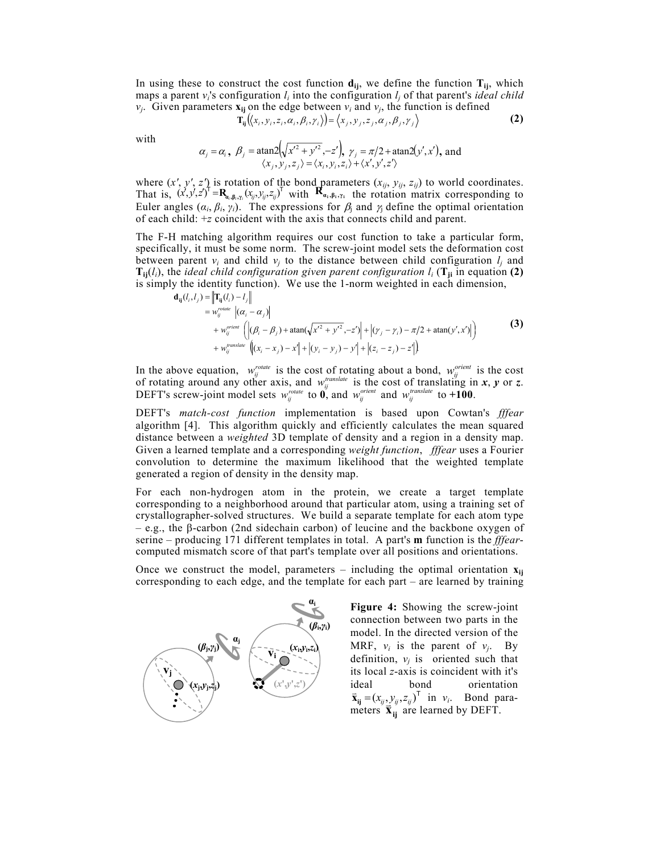In using these to construct the cost function  $\mathbf{d}_{ii}$ , we define the function  $\mathbf{T}_{ii}$ , which maps a parent  $v_i$ 's configuration  $l_i$  into the configuration  $l_i$  of that parent's *ideal child*  $v_i$ . Given parameters  $\mathbf{x}_{ii}$  on the edge between  $v_i$  and  $v_i$ , the function is defined

$$
\mathbf{T}_{ij}(\langle x_i, y_i, z_i, \alpha_i, \beta_i, \gamma_i \rangle) = \langle x_j, y_j, z_j, \alpha_j, \beta_j, \gamma_j \rangle \tag{2}
$$

with

$$
\alpha_j = \alpha_i, \ \beta_j = \operatorname{atan2}\left(\sqrt{x'^2 + y'^2}, -z'\right), \ \gamma_j = \pi/2 + \operatorname{atan2}\left(y', x'\right), \text{ and} \\ \langle x_j, y_j, z_j \rangle = \langle x_i, y_i, z_i \rangle + \langle x', y', z' \rangle
$$

where  $(x', y', z')$  is rotation of the bond parameters  $(x_{ij}, y_{ij}, z_{ij})$  to world coordinates. That is,  $(x', y', z')^{\dagger} = \mathbf{R}_{a_i, \beta_i, \gamma_i}(x_{ij}, y_{ij}, z_{ij})^{\dagger}$  with  $\mathbf{R}_{a_i, \beta_i, \gamma_i}$  the rotation matrix corresponding to Euler angles  $(\alpha_i, \beta_i, \gamma_i)$ . The expressions for  $\beta_j$  and  $\gamma_j$  define the optimal orientation of each child: +*z* coincident with the axis that connects child and parent.

The F-H matching algorithm requires our cost function to take a particular form, specifically, it must be some norm. The screw-joint model sets the deformation cost between parent  $v_i$  and child  $v_j$  to the distance between child configuration  $l_j$  and  $T_{ij}(l_i)$ , the *ideal child configuration given parent configuration*  $l_i$  ( $T_{ji}$  in equation (2) is simply the identity function). We use the 1-norm weighted in each dimension,

$$
\mathbf{d}_{ij}(l_i, l_j) = \left\| \mathbf{T}_{ij}(l_i) - l_j \right\|
$$
  
\n
$$
= w_{ij}^{rotate} \left| (\alpha_i - \alpha_j) \right|
$$
  
\n
$$
+ w_{ij}^{prime} \left( \left| (\beta_i - \beta_j) + \operatorname{atan}(\sqrt{x'^2 + y'^2}, -z') \right| + \left| (\gamma_j - \gamma_i) - \pi/2 + \operatorname{atan}(y', x') \right| \right)
$$
  
\n
$$
+ w_{ij}^{prasure} \left( \left| (\alpha_i - x_j) - x' \right| + \left| (\gamma_i - y_j) - y' \right| + \left| (\zeta_i - z_j) - z' \right| \right)
$$
  
\n(3)

In the above equation,  $w_{ij}^{rotate}$  is the cost of rotating about a bond,  $w_{ij}^{orient}$  is the cost of rotating around any other axis, and  $w_{ij}^{translate}$  is the cost of translating in *x*, *y* or *z*. DEFT's screw-joint model sets  $w_{ij}^{rotate}$  to  $\vec{\bf{0}}$ , and  $w_{ij}^{orient}$  and  $w_{ij}^{translate}$  to +100.

DEFT's *match-cost function* implementation is based upon Cowtan's *fffear* algorithm [4]. This algorithm quickly and efficiently calculates the mean squared distance between a *weighted* 3D template of density and a region in a density map. Given a learned template and a corresponding *weight function*, *fffear* uses a Fourier convolution to determine the maximum likelihood that the weighted template generated a region of density in the density map.

For each non-hydrogen atom in the protein, we create a target template corresponding to a neighborhood around that particular atom, using a training set of crystallographer-solved structures. We build a separate template for each atom type – e.g., the β-carbon (2nd sidechain carbon) of leucine and the backbone oxygen of serine – producing 171 different templates in total. A part's **m** function is the *fffear*computed mismatch score of that part's template over all positions and orientations.

Once we construct the model, parameters – including the optimal orientation  $\mathbf{x}_{ij}$ corresponding to each edge, and the template for each part – are learned by training



**Figure 4:** Showing the screw-joint connection between two parts in the model. In the directed version of the MRF,  $v_i$  is the parent of  $v_j$ . By definition,  $v_i$  is oriented such that its local *z*-axis is coincident with it's ideal bond orientation<br>  $\vec{x}_{ij} = (x_{ij}, y_{ij}, z_{ij})^T$  in  $v_i$ . Bond para- $\mathbf{x}_{ij} = (x_{ij}, y_{ij}, z_{ij})$  in  $v_i$ . Bond particles  $\mathbf{\vec{x}}_{ij}$  are learned by DEFT.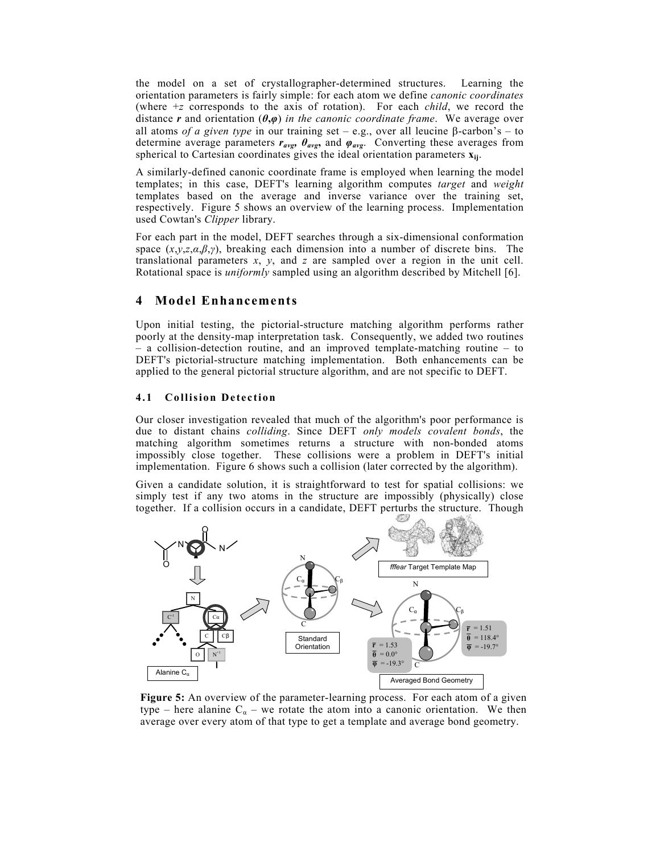the model on a set of crystallographer-determined structures. Learning the orientation parameters is fairly simple: for each atom we define *canonic coordinates*  (where +*z* corresponds to the axis of rotation). For each *child*, we record the distance *r* and orientation (*θ***,***φ*) *in the canonic coordinate frame*. We average over all atoms *of a given type* in our training set – e.g., over all leucine β-carbon's – to determine average parameters *ravg, θavg***,** and *φavg*. Converting these averages from spherical to Cartesian coordinates gives the ideal orientation parameters **xij**.

A similarly-defined canonic coordinate frame is employed when learning the model templates; in this case, DEFT's learning algorithm computes *target* and *weight* templates based on the average and inverse variance over the training set, respectively. Figure 5 shows an overview of the learning process. Implementation used Cowtan's *Clipper* library.

For each part in the model, DEFT searches through a six-dimensional conformation space (*x*,*y*,*z*,*α*,*β*,*γ*), breaking each dimension into a number of discrete bins. The translational parameters *x*, *y*, and *z* are sampled over a region in the unit cell. Rotational space is *uniformly* sampled using an algorithm described by Mitchell [6].

## **4 Model Enhancements**

Upon initial testing, the pictorial-structure matching algorithm performs rather poorly at the density-map interpretation task. Consequently, we added two routines – a collision-detection routine, and an improved template-matching routine – to DEFT's pictorial-structure matching implementation. Both enhancements can be applied to the general pictorial structure algorithm, and are not specific to DEFT.

#### **4.1 Collision Detection**

Our closer investigation revealed that much of the algorithm's poor performance is due to distant chains *colliding*. Since DEFT *only models covalent bonds*, the matching algorithm sometimes returns a structure with non-bonded atoms impossibly close together. These collisions were a problem in DEFT's initial implementation. Figure 6 shows such a collision (later corrected by the algorithm).

Given a candidate solution, it is straightforward to test for spatial collisions: we simply test if any two atoms in the structure are impossibly (physically) close together. If a collision occurs in a candidate, DEFT perturbs the structure. Though



**Figure 5:** An overview of the parameter-learning process. For each atom of a given type – here alanine  $C_{\alpha}$  – we rotate the atom into a canonic orientation. We then average over every atom of that type to get a template and average bond geometry.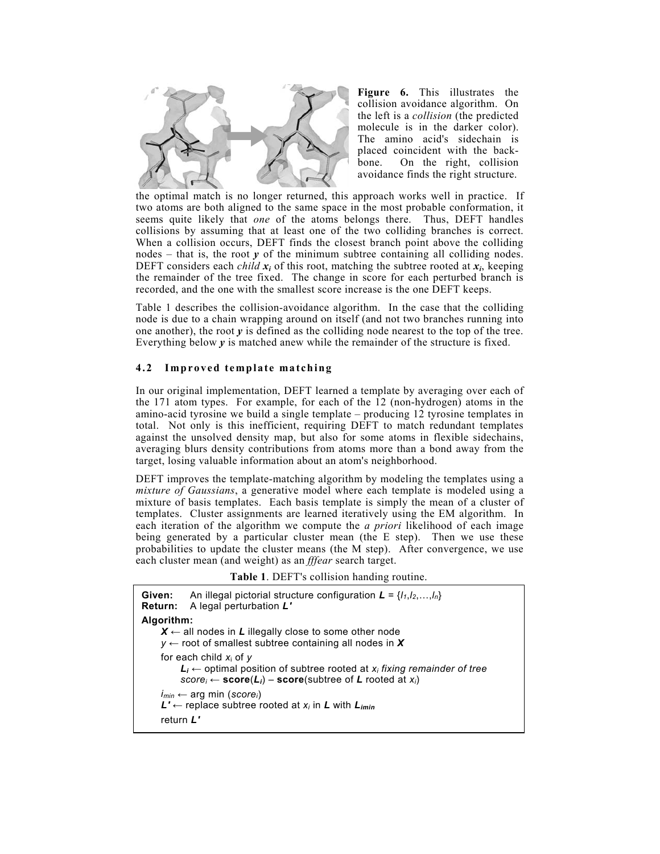

**Figure 6.** This illustrates the collision avoidance algorithm. On the left is a *collision* (the predicted molecule is in the darker color). The amino acid's sidechain is placed coincident with the backbone. On the right, collision avoidance finds the right structure.

the optimal match is no longer returned, this approach works well in practice. If two atoms are both aligned to the same space in the most probable conformation, it seems quite likely that *one* of the atoms belongs there. Thus, DEFT handles collisions by assuming that at least one of the two colliding branches is correct. When a collision occurs, DEFT finds the closest branch point above the colliding nodes  $-$  that is, the root  $y$  of the minimum subtree containing all colliding nodes. DEFT considers each *child*  $x_i$  of this root, matching the subtree rooted at  $x_i$ , keeping the remainder of the tree fixed. The change in score for each perturbed branch is recorded, and the one with the smallest score increase is the one DEFT keeps.

Table 1 describes the collision-avoidance algorithm. In the case that the colliding node is due to a chain wrapping around on itself (and not two branches running into one another), the root *y* is defined as the colliding node nearest to the top of the tree. Everything below  $\gamma$  is matched anew while the remainder of the structure is fixed.

### **4.2 Improved template matching**

In our original implementation, DEFT learned a template by averaging over each of the 171 atom types. For example, for each of the 12 (non-hydrogen) atoms in the amino-acid tyrosine we build a single template – producing 12 tyrosine templates in total. Not only is this inefficient, requiring DEFT to match redundant templates against the unsolved density map, but also for some atoms in flexible sidechains, averaging blurs density contributions from atoms more than a bond away from the target, losing valuable information about an atom's neighborhood.

DEFT improves the template-matching algorithm by modeling the templates using a *mixture of Gaussians*, a generative model where each template is modeled using a mixture of basis templates. Each basis template is simply the mean of a cluster of templates. Cluster assignments are learned iteratively using the EM algorithm. In each iteration of the algorithm we compute the *a priori* likelihood of each image being generated by a particular cluster mean (the E step). Then we use these probabilities to update the cluster means (the M step). After convergence, we use each cluster mean (and weight) as an *fffear* search target.

**Table 1**. DEFT's collision handing routine.

| Given:     | An illegal pictorial structure configuration $\mathbf{L} = \{l_1, l_2, , l_n\}$<br><b>Return:</b> A legal perturbation L'                                                                           |
|------------|-----------------------------------------------------------------------------------------------------------------------------------------------------------------------------------------------------|
| Algorithm: | $X \leftarrow$ all nodes in L illegally close to some other node<br>$y \leftarrow$ root of smallest subtree containing all nodes in X                                                               |
|            | for each child $x_i$ of y<br>$\mathcal{L}_i \leftarrow$ optimal position of subtree rooted at $x_i$ fixing remainder of tree<br>$score_i \leftarrow score(L_i) - score(subtree of L rooted at x_i)$ |
|            | $i_{min} \leftarrow \text{arg min } (score_i)$<br>$L' \leftarrow$ replace subtree rooted at $x_i$ in L with $L_{imin}$<br>return L'                                                                 |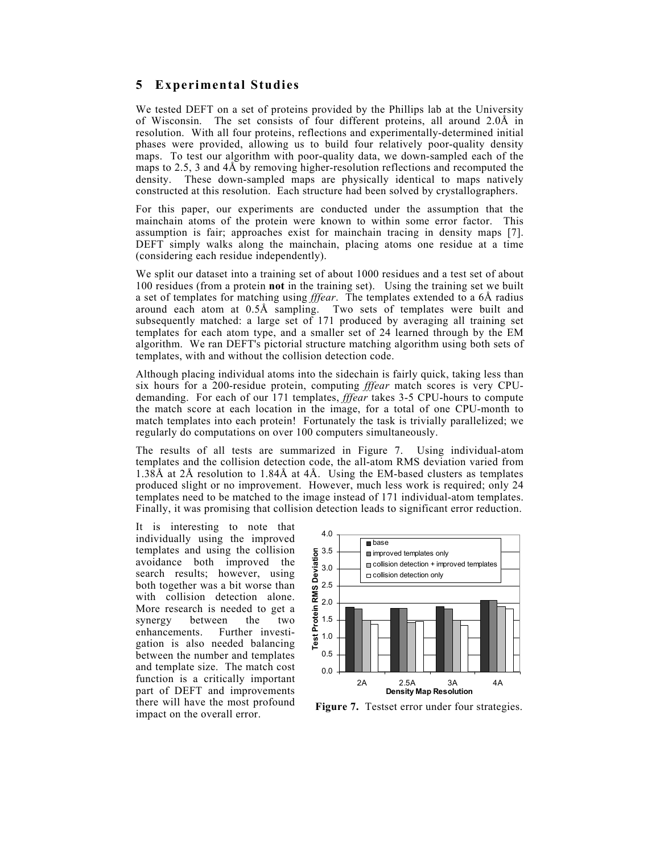## **5 Experimental Studies**

We tested DEFT on a set of proteins provided by the Phillips lab at the University of Wisconsin. The set consists of four different proteins, all around 2.0Å in resolution. With all four proteins, reflections and experimentally-determined initial phases were provided, allowing us to build four relatively poor-quality density maps. To test our algorithm with poor-quality data, we down-sampled each of the maps to 2.5, 3 and 4Å by removing higher-resolution reflections and recomputed the density. These down-sampled maps are physically identical to maps natively constructed at this resolution. Each structure had been solved by crystallographers.

For this paper, our experiments are conducted under the assumption that the mainchain atoms of the protein were known to within some error factor. This assumption is fair; approaches exist for mainchain tracing in density maps [7]. DEFT simply walks along the mainchain, placing atoms one residue at a time (considering each residue independently).

We split our dataset into a training set of about 1000 residues and a test set of about 100 residues (from a protein **not** in the training set). Using the training set we built a set of templates for matching using *fffear*. The templates extended to a 6Å radius around each atom at 0.5Å sampling. Two sets of templates were built and subsequently matched: a large set of 171 produced by averaging all training set templates for each atom type, and a smaller set of 24 learned through by the EM algorithm. We ran DEFT's pictorial structure matching algorithm using both sets of templates, with and without the collision detection code.

Although placing individual atoms into the sidechain is fairly quick, taking less than six hours for a 200-residue protein, computing *fffear* match scores is very CPUdemanding. For each of our 171 templates, *fffear* takes 3-5 CPU-hours to compute the match score at each location in the image, for a total of one CPU-month to match templates into each protein! Fortunately the task is trivially parallelized; we regularly do computations on over 100 computers simultaneously.

The results of all tests are summarized in Figure 7. Using individual-atom templates and the collision detection code, the all-atom RMS deviation varied from 1.38Å at 2Å resolution to 1.84Å at 4Å. Using the EM-based clusters as templates produced slight or no improvement. However, much less work is required; only 24 templates need to be matched to the image instead of 171 individual-atom templates. Finally, it was promising that collision detection leads to significant error reduction.

It is interesting to note that individually using the improved templates and using the collision avoidance both improved the search results; however, using both together was a bit worse than with collision detection alone. More research is needed to get a synergy between the two enhancements. Further investigation is also needed balancing between the number and templates and template size. The match cost function is a critically important part of DEFT and improvements there will have the most profound impact on the overall error.



**Figure 7.** Testset error under four strategies.